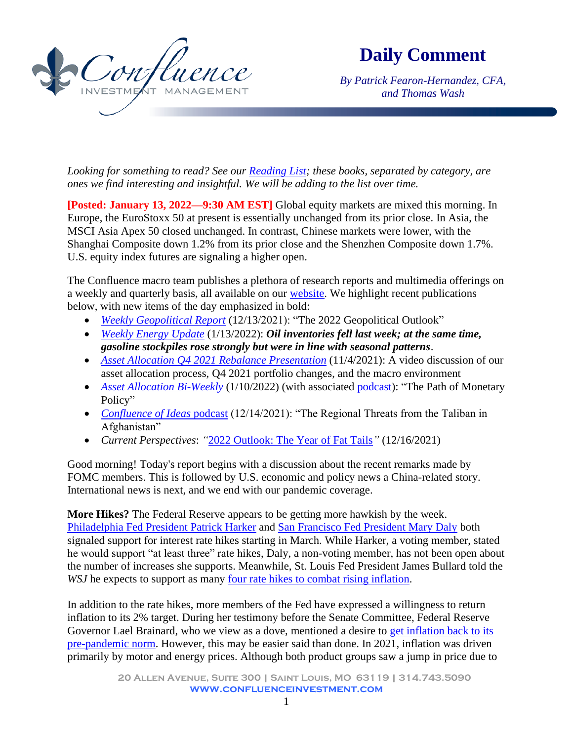

**Daily Comment**

*By Patrick Fearon-Hernandez, CFA, and Thomas Wash*

*Looking for something to read? See our [Reading List;](http://www.confluenceinvestment.com/research-news/reading-list/) these books, separated by category, are ones we find interesting and insightful. We will be adding to the list over time.*

**[Posted: January 13, 2022—9:30 AM EST]** Global equity markets are mixed this morning. In Europe, the EuroStoxx 50 at present is essentially unchanged from its prior close. In Asia, the MSCI Asia Apex 50 closed unchanged. In contrast, Chinese markets were lower, with the Shanghai Composite down 1.2% from its prior close and the Shenzhen Composite down 1.7%. U.S. equity index futures are signaling a higher open.

The Confluence macro team publishes a plethora of research reports and multimedia offerings on a weekly and quarterly basis, all available on our [website.](https://www.confluenceinvestment.com/research-news/) We highlight recent publications below, with new items of the day emphasized in bold:

- *[Weekly Geopolitical Report](https://www.confluenceinvestment.com/wp-content/uploads/weekly_geopolitical_report_12_13_2021.pdf)* (12/13/2021): "The 2022 Geopolitical Outlook"
- *[Weekly Energy Update](https://www.confluenceinvestment.com/wp-content/uploads/wkly_energy_Jan_13_2022.pdf)* (1/13/2022): *Oil inventories fell last week; at the same time, gasoline stockpiles rose strongly but were in line with seasonal patterns*.
- *Asset Allocation Q4 [2021 Rebalance Presentation](https://www.confluenceinvestment.com/research-news/quarterly-rebalance-presentation/)* (11/4/2021): A video discussion of our asset allocation process, Q4 2021 portfolio changes, and the macro environment
- *[Asset Allocation Bi-Weekly](https://www.confluenceinvestment.com/wp-content/uploads/AAW_Jan_10_2022.pdf)* (1/10/2022) (with associated [podcast\)](https://www.confluenceinvestment.com/category/podcasts/asset-allocation-weekly-podcast/): "The Path of Monetary Policy"
- *[Confluence of Ideas](https://www.confluenceinvestment.com/category/podcasts/confluence-of-ideas/)* podcast (12/14/2021): "The Regional Threats from the Taliban in Afghanistan"
- *Current Perspectives*: *"*[2022 Outlook: The Year of Fat Tails](https://www.confluenceinvestment.com/wp-content/uploads/2022_Outlook_Year_of_Fat_Tails.pdf)*"* (12/16/2021)

Good morning! Today's report begins with a discussion about the recent remarks made by FOMC members. This is followed by U.S. economic and policy news a China-related story. International news is next, and we end with our pandemic coverage.

**More Hikes?** The Federal Reserve appears to be getting more hawkish by the week. [Philadelphia Fed President Patrick Harker](https://www.reuters.com/article/us-usa-fed-harker-balancesheet-idUSKBN19C2BI) and [San Francisco Fed President Mary Daly](https://www.reuters.com/business/feds-daly-us-interest-rate-hikes-could-start-march-2022-01-12/) both signaled support for interest rate hikes starting in March. While Harker, a voting member, stated he would support "at least three" rate hikes, Daly, a non-voting member, has not been open about the number of increases she supports. Meanwhile, St. Louis Fed President James Bullard told the *WSJ* he expects to support as many [four rate hikes to combat rising inflation.](https://www.wsj.com/articles/transcript-st-louis-fed-chief-james-bullard-interviewed-by-wsj-11642026848)

In addition to the rate hikes, more members of the Fed have expressed a willingness to return inflation to its 2% target. During her testimony before the Senate Committee, Federal Reserve Governor Lael Brainard, who we view as a dove, mentioned a desire to [get inflation back to its](https://www.wsj.com/articles/feds-brainard-to-tell-congress-that-reducing-inflation-is-top-priority-11642069803)  [pre-pandemic norm.](https://www.wsj.com/articles/feds-brainard-to-tell-congress-that-reducing-inflation-is-top-priority-11642069803) However, this may be easier said than done. In 2021, inflation was driven primarily by motor and energy prices. Although both product groups saw a jump in price due to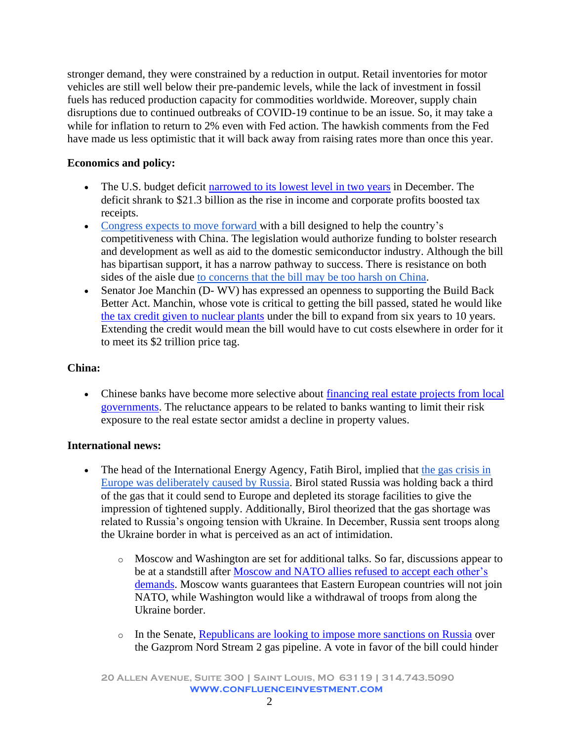stronger demand, they were constrained by a reduction in output. Retail inventories for motor vehicles are still well below their pre-pandemic levels, while the lack of investment in fossil fuels has reduced production capacity for commodities worldwide. Moreover, supply chain disruptions due to continued outbreaks of COVID-19 continue to be an issue. So, it may take a while for inflation to return to 2% even with Fed action. The hawkish comments from the Fed have made us less optimistic that it will back away from raising rates more than once this year.

# **Economics and policy:**

- The U.S. budget deficit [narrowed to its lowest level in two years](https://www.wsj.com/articles/federal-budget-deficit-narrowed-in-december-11642014084) in December. The deficit shrank to \$21.3 billion as the rise in income and corporate profits boosted tax receipts.
- Congress expects [to move forward w](https://www.bloomberg.com/news/articles/2022-01-12/house-leaders-assembling-compromise-on-china-competition-bill?sref=uIvt3NFS)ith a bill designed to help the country's competitiveness with China. The legislation would authorize funding to bolster research and development as well as aid to the domestic semiconductor industry. Although the bill has bipartisan support, it has a narrow pathway to success. There is resistance on both sides of the aisle due [to concerns that the bill may be too harsh on China.](https://quincyinst.org/2021/05/17/65-orgs-cold-war-with-china-is-a-dangerous-and-self-defeating-strategy/)
- Senator Joe Manchin (D- WV) has expressed an openness to supporting the Build Back Better Act. Manchin, whose vote is critical to getting the bill passed, stated he would like [the tax credit given to nuclear plants](https://news.bloombergtax.com/daily-tax-report/manchin-offers-path-for-biden-green-goals-im-big-on-nuclear) under the bill to expand from six years to 10 years. Extending the credit would mean the bill would have to cut costs elsewhere in order for it to meet its \$2 trillion price tag.

# **China:**

• Chinese banks have become more selective about financing real estate projects from local [governments.](https://news.yahoo.com/china-banks-curb-property-loans-061300628.html) The reluctance appears to be related to banks wanting to limit their risk exposure to the real estate sector amidst a decline in property values.

# **International news:**

- The head of the International Energy Agency, Fatih Birol, implied that the gas crisis in [Europe was deliberately caused by Russia.](https://www.ft.com/content/668a846e-d589-4810-a390-6d7ff281054a) Birol stated Russia was holding back a third of the gas that it could send to Europe and depleted its storage facilities to give the impression of tightened supply. Additionally, Birol theorized that the gas shortage was related to Russia's ongoing tension with Ukraine. In December, Russia sent troops along the Ukraine border in what is perceived as an act of intimidation.
	- o Moscow and Washington are set for additional talks. So far, discussions appear to be at a standstill after [Moscow and NATO allies refused to accept each](https://www.politico.eu/article/nato-russia-in-a-standoff-after-talks-in-brussels/) other's [demands](https://www.politico.eu/article/nato-russia-in-a-standoff-after-talks-in-brussels/). Moscow wants guarantees that Eastern European countries will not join NATO, while Washington would like a withdrawal of troops from along the Ukraine border.
	- o In the Senate, [Republicans are looking to impose more sanctions on Russia](https://www.politico.com/news/2022/01/13/gop-russia-senate-sanctions-vote-527004) over the Gazprom Nord Stream 2 gas pipeline. A vote in favor of the bill could hinder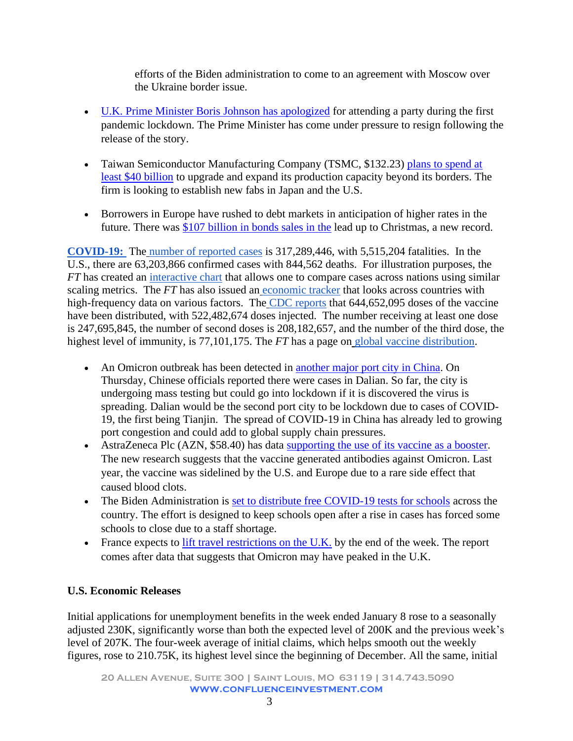efforts of the Biden administration to come to an agreement with Moscow over the Ukraine border issue.

- [U.K. Prime Minister Boris Johnson has apologized](https://www.nytimes.com/2022/01/12/world/europe/boris-johnson-uk-parties.html) for attending a party during the first pandemic lockdown. The Prime Minister has come under pressure to resign following the release of the story.
- Taiwan Semiconductor Manufacturing Company (TSMC, \$132.23) plans to spend at [least \\$40 billion](https://www.reuters.com/technology/tsmc-q4-profit-rises-164-record-beats-market-forecasts-2022-01-13/) to upgrade and expand its production capacity beyond its borders. The firm is looking to establish new fabs in Japan and the U.S.
- Borrowers in Europe have rushed to debt markets in anticipation of higher rates in the future. There was [\\$107 billion in bonds](https://news.yahoo.com/europes-bond-sales-just-set-114632464.html) sales in the lead up to Christmas, a new record.

**[COVID-19:](https://www.nytimes.com/live/2021/04/14/world/covid-vaccine-coronavirus-cases?action=click&block=storyline_live_updates_block_recirc&campaign_id=51&emc=edit_mbe_20210415&instance_id=29251&name=styln-coronavirus&nl=morning-briefing%3A-europe-edition&pgtype=LegacyCollection®i_id=5677267®ion=hub&segment_id=55601&te=1&user_id=cf9e3e54fec2ede829d24b038d8ab9e3)** The [number of reported cases](https://coronavirus.jhu.edu/map.html) is 317,289,446, with 5,515,204 fatalities. In the U.S., there are 63,203,866 confirmed cases with 844,562 deaths. For illustration purposes, the *FT* has created an [interactive chart](https://ig.ft.com/coronavirus-chart/?areas=usa&areas=swe&areasRegional=usny&areasRegional=usca&areasRegional=usfl&areasRegional=ustx&cumulative=0&logScale=1&perMillion=1&values=deaths) that allows one to compare cases across nations using similar scaling metrics. The *FT* has also issued an [economic tracker](https://www.ft.com/content/272354f2-f970-4ae4-a8ae-848c4baf8f4a?emailId=5f2239a816a1ab0004486f8e&segmentId=22011ee7-896a-8c4c-22a0-7603348b7f22) that looks across countries with high-frequency data on various factors. The [CDC reports](https://covid.cdc.gov/covid-data-tracker/#vaccinations) that 644,652,095 doses of the vaccine have been distributed, with 522,482,674 doses injected. The number receiving at least one dose is 247,695,845, the number of second doses is 208,182,657, and the number of the third dose, the highest level of immunity, is 77,101,175. The *FT* has a page on [global vaccine distribution.](https://ig.ft.com/coronavirus-vaccine-tracker/?areas=gbr&areas=isr&areas=usa&areas=eue&cumulative=1&populationAdjusted=1)

- An Omicron outbreak has been detected in [another major port city in China.](https://www.bloomberg.com/news/articles/2022-01-13/omicron-spreads-to-second-chinese-port-city-companies-affected) On Thursday, Chinese officials reported there were cases in Dalian. So far, the city is undergoing mass testing but could go into lockdown if it is discovered the virus is spreading. Dalian would be the second port city to be lockdown due to cases of COVID-19, the first being Tianjin. The spread of COVID-19 in China has already led to growing port congestion and could add to global supply chain pressures.
- AstraZeneca Plc (AZN, \$58.40) has data [supporting the use of its vaccine as a booster.](https://www.usatoday.com/story/news/health/2021/03/16/astrazeneca-covid-19-vaccine-europe-us-experts-coronavirus/4714377001/) The new research suggests that the vaccine generated antibodies against Omicron. Last year, the vaccine was sidelined by the U.S. and Europe due to a rare side effect that caused blood clots.
- The Biden Administration is [set to distribute free COVID-19 tests for schools](https://www.wsj.com/articles/biden-administration-to-offer-schools-millions-of-free-covid-19-tests-each-month-11641981601) across the country. The effort is designed to keep schools open after a rise in cases has forced some schools to close due to a staff shortage.
- France expects to  $\frac{lift}{it}$  travel restrictions on the U.K. by the end of the week. The report comes after data that suggests that Omicron may have peaked in the U.K.

# **U.S. Economic Releases**

Initial applications for unemployment benefits in the week ended January 8 rose to a seasonally adjusted 230K, significantly worse than both the expected level of 200K and the previous week's level of 207K. The four-week average of initial claims, which helps smooth out the weekly figures, rose to 210.75K, its highest level since the beginning of December. All the same, initial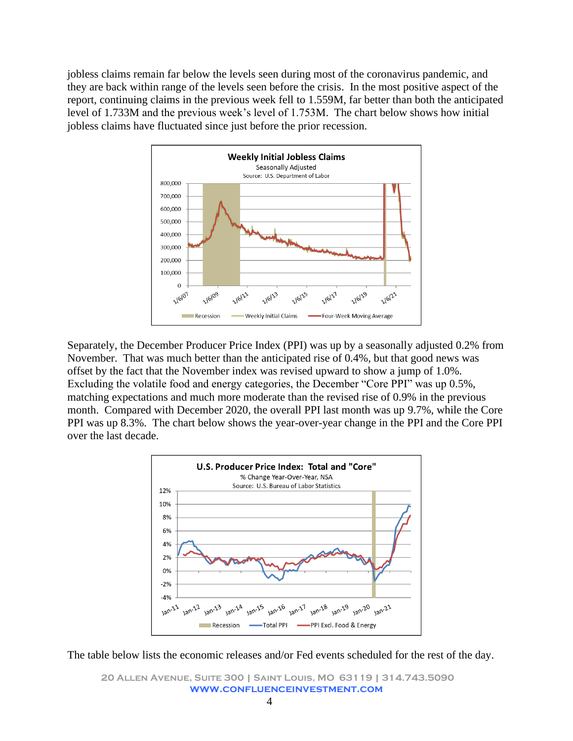jobless claims remain far below the levels seen during most of the coronavirus pandemic, and they are back within range of the levels seen before the crisis. In the most positive aspect of the report, continuing claims in the previous week fell to 1.559M, far better than both the anticipated level of 1.733M and the previous week's level of 1.753M. The chart below shows how initial jobless claims have fluctuated since just before the prior recession.



Separately, the December Producer Price Index (PPI) was up by a seasonally adjusted 0.2% from November. That was much better than the anticipated rise of 0.4%, but that good news was offset by the fact that the November index was revised upward to show a jump of 1.0%. Excluding the volatile food and energy categories, the December "Core PPI" was up 0.5%, matching expectations and much more moderate than the revised rise of 0.9% in the previous month. Compared with December 2020, the overall PPI last month was up 9.7%, while the Core PPI was up 8.3%. The chart below shows the year-over-year change in the PPI and the Core PPI over the last decade.



The table below lists the economic releases and/or Fed events scheduled for the rest of the day.

**20 Allen Avenue, Suite 300 | Saint Louis, MO 63119 | 314.743.5090 www.confluenceinvestment.com**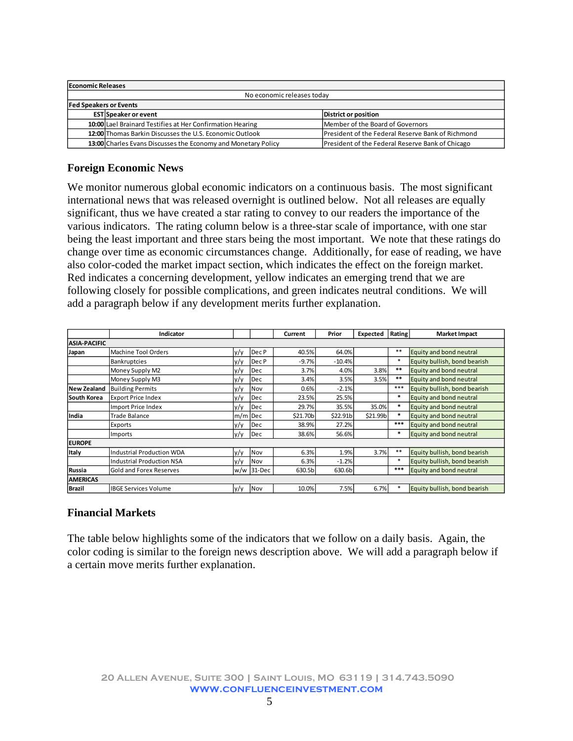| <b>Economic Releases</b>      |                                                               |                                                          |  |  |
|-------------------------------|---------------------------------------------------------------|----------------------------------------------------------|--|--|
| No economic releases today    |                                                               |                                                          |  |  |
| <b>Fed Speakers or Events</b> |                                                               |                                                          |  |  |
|                               | EST Speaker or event                                          | <b>District or position</b>                              |  |  |
|                               | 10:00 Lael Brainard Testifies at Her Confirmation Hearing     | Member of the Board of Governors                         |  |  |
|                               | 12:00 Thomas Barkin Discusses the U.S. Economic Outlook       | <b>President of the Federal Reserve Bank of Richmond</b> |  |  |
|                               | 13:00 Charles Evans Discusses the Economy and Monetary Policy | President of the Federal Reserve Bank of Chicago         |  |  |

### **Foreign Economic News**

We monitor numerous global economic indicators on a continuous basis. The most significant international news that was released overnight is outlined below. Not all releases are equally significant, thus we have created a star rating to convey to our readers the importance of the various indicators. The rating column below is a three-star scale of importance, with one star being the least important and three stars being the most important. We note that these ratings do change over time as economic circumstances change. Additionally, for ease of reading, we have also color-coded the market impact section, which indicates the effect on the foreign market. Red indicates a concerning development, yellow indicates an emerging trend that we are following closely for possible complications, and green indicates neutral conditions. We will add a paragraph below if any development merits further explanation.

|                     | Indicator                   |         |              | Current  | Prior    | Expected | Rating | <b>Market Impact</b>         |
|---------------------|-----------------------------|---------|--------------|----------|----------|----------|--------|------------------------------|
| <b>ASIA-PACIFIC</b> |                             |         |              |          |          |          |        |                              |
| Japan               | Machine Tool Orders         | y/y     | Dec P        | 40.5%    | 64.0%    |          | $**$   | Equity and bond neutral      |
|                     | <b>Bankruptcies</b>         | y/y     | Dec P        | $-9.7%$  | $-10.4%$ |          | $\ast$ | Equity bullish, bond bearish |
|                     | Money Supply M2             | y/y     | Dec          | 3.7%     | 4.0%     | 3.8%     | **     | Equity and bond neutral      |
|                     | Money Supply M3             | y/y     | Dec          | 3.4%     | 3.5%     | 3.5%     | **     | Equity and bond neutral      |
| <b>New Zealand</b>  | <b>Building Permits</b>     | y/y     | Nov          | 0.6%     | $-2.1%$  |          | ***    | Equity bullish, bond bearish |
| South Korea         | <b>Export Price Index</b>   | y/y     | Dec          | 23.5%    | 25.5%    |          | *      | Equity and bond neutral      |
|                     | Import Price Index          | V/V     | Dec          | 29.7%    | 35.5%    | 35.0%    |        | Equity and bond neutral      |
| India               | <b>Trade Balance</b>        | m/m Dec |              | \$21.70b | \$22.91b | \$21.99b |        | Equity and bond neutral      |
|                     | Exports                     | y/y     | Dec          | 38.9%    | 27.2%    |          | ***    | Equity and bond neutral      |
|                     | Imports                     | y/y     | Dec          | 38.6%    | 56.6%    |          |        | Equity and bond neutral      |
| <b>EUROPE</b>       |                             |         |              |          |          |          |        |                              |
| <b>Italy</b>        | Industrial Production WDA   | y/y     | Nov          | 6.3%     | 1.9%     | 3.7%     | $**$   | Equity bullish, bond bearish |
|                     | Industrial Production NSA   | y/y     | Nov          | 6.3%     | $-1.2%$  |          |        | Equity bullish, bond bearish |
| Russia              | Gold and Forex Reserves     |         | $w/w$ 31-Dec | 630.5b   | 630.6b   |          | ***    | Equity and bond neutral      |
| <b>AMERICAS</b>     |                             |         |              |          |          |          |        |                              |
| Brazil              | <b>IBGE Services Volume</b> | y/y     | Nov          | 10.0%    | 7.5%     | 6.7%     |        | Equity bullish, bond bearish |

#### **Financial Markets**

The table below highlights some of the indicators that we follow on a daily basis. Again, the color coding is similar to the foreign news description above. We will add a paragraph below if a certain move merits further explanation.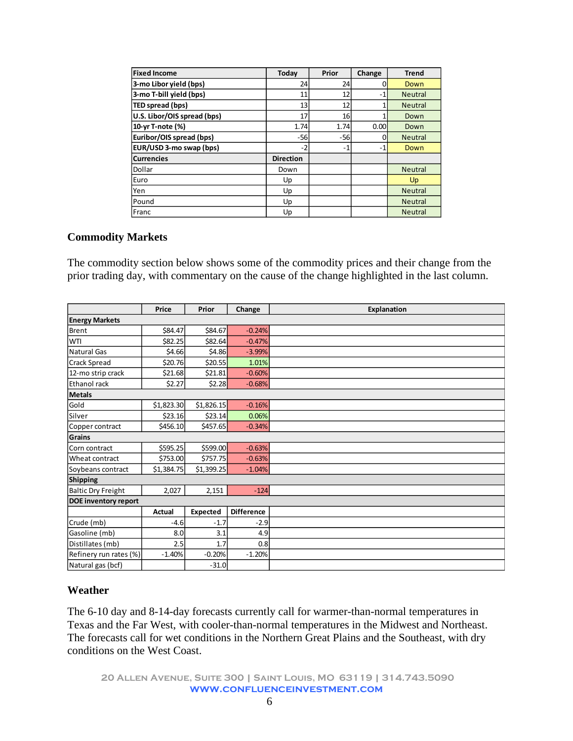| <b>Fixed Income</b>         | Today            | Prior | Change | <b>Trend</b>   |
|-----------------------------|------------------|-------|--------|----------------|
| 3-mo Libor yield (bps)      | 24               | 24    |        | Down           |
| 3-mo T-bill yield (bps)     | 11               | 12    | $-1$   | <b>Neutral</b> |
| TED spread (bps)            | 13               | 12    |        | <b>Neutral</b> |
| U.S. Libor/OIS spread (bps) | 17               | 16    |        | Down           |
| 10-yr T-note (%)            | 1.74             | 1.74  | 0.00   | Down           |
| Euribor/OIS spread (bps)    | $-56$            | $-56$ |        | <b>Neutral</b> |
| EUR/USD 3-mo swap (bps)     | $-2$             | $-1$  | $-1$   | Down           |
| <b>Currencies</b>           | <b>Direction</b> |       |        |                |
| Dollar                      | Down             |       |        | <b>Neutral</b> |
| Euro                        | Up               |       |        | Up             |
| Yen                         | Up               |       |        | <b>Neutral</b> |
| Pound                       | Up               |       |        | <b>Neutral</b> |
| Franc                       | Up               |       |        | <b>Neutral</b> |

#### **Commodity Markets**

The commodity section below shows some of the commodity prices and their change from the prior trading day, with commentary on the cause of the change highlighted in the last column.

|                           | Price         | Prior           | Change            | <b>Explanation</b> |  |  |  |
|---------------------------|---------------|-----------------|-------------------|--------------------|--|--|--|
| <b>Energy Markets</b>     |               |                 |                   |                    |  |  |  |
| <b>Brent</b>              | \$84.47       | \$84.67         | $-0.24%$          |                    |  |  |  |
| WTI                       | \$82.25       | \$82.64         | $-0.47%$          |                    |  |  |  |
| <b>Natural Gas</b>        | \$4.66        | \$4.86          | $-3.99%$          |                    |  |  |  |
| Crack Spread              | \$20.76       | \$20.55         | 1.01%             |                    |  |  |  |
| 12-mo strip crack         | \$21.68       | \$21.81         | $-0.60%$          |                    |  |  |  |
| Ethanol rack              | \$2.27        | \$2.28          | $-0.68%$          |                    |  |  |  |
| Metals                    |               |                 |                   |                    |  |  |  |
| Gold                      | \$1,823.30    | \$1,826.15      | $-0.16%$          |                    |  |  |  |
| Silver                    | \$23.16       | \$23.14         | 0.06%             |                    |  |  |  |
| Copper contract           | \$456.10      | \$457.65        | $-0.34%$          |                    |  |  |  |
| Grains                    |               |                 |                   |                    |  |  |  |
| Corn contract             | \$595.25      | \$599.00        | $-0.63%$          |                    |  |  |  |
| Wheat contract            | \$753.00      | \$757.75        | $-0.63%$          |                    |  |  |  |
| Soybeans contract         | \$1,384.75    | \$1,399.25      | $-1.04%$          |                    |  |  |  |
| Shipping                  |               |                 |                   |                    |  |  |  |
| <b>Baltic Dry Freight</b> | 2,027         | 2,151           | $-124$            |                    |  |  |  |
| DOE inventory report      |               |                 |                   |                    |  |  |  |
|                           | <b>Actual</b> | <b>Expected</b> | <b>Difference</b> |                    |  |  |  |
| Crude (mb)                | $-4.6$        | $-1.7$          | $-2.9$            |                    |  |  |  |
| Gasoline (mb)             | 8.0           | 3.1             | 4.9               |                    |  |  |  |
| Distillates (mb)          | 2.5           | 1.7             | 0.8               |                    |  |  |  |
| Refinery run rates (%)    | $-1.40%$      | $-0.20%$        | $-1.20%$          |                    |  |  |  |
| Natural gas (bcf)         |               | $-31.0$         |                   |                    |  |  |  |

#### **Weather**

The 6-10 day and 8-14-day forecasts currently call for warmer-than-normal temperatures in Texas and the Far West, with cooler-than-normal temperatures in the Midwest and Northeast. The forecasts call for wet conditions in the Northern Great Plains and the Southeast, with dry conditions on the West Coast.

**20 Allen Avenue, Suite 300 | Saint Louis, MO 63119 | 314.743.5090 www.confluenceinvestment.com**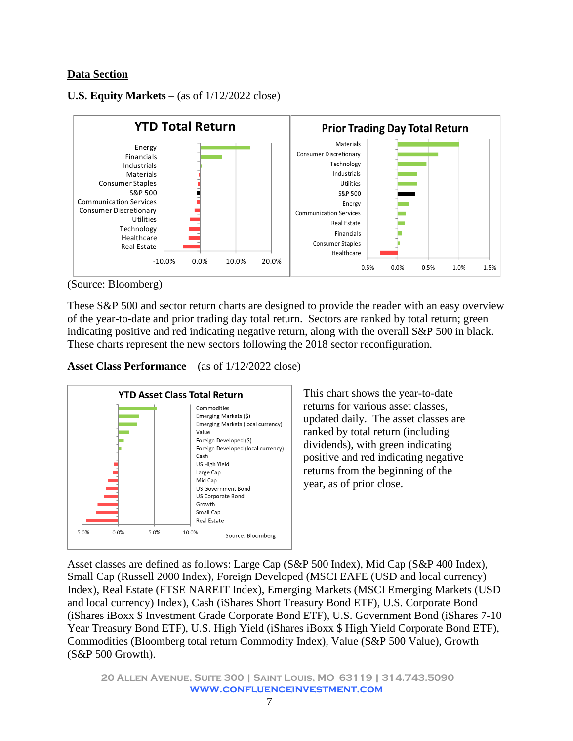### **Data Section**

### **U.S. Equity Markets** – (as of 1/12/2022 close)



(Source: Bloomberg)

These S&P 500 and sector return charts are designed to provide the reader with an easy overview of the year-to-date and prior trading day total return. Sectors are ranked by total return; green indicating positive and red indicating negative return, along with the overall S&P 500 in black. These charts represent the new sectors following the 2018 sector reconfiguration.

**Asset Class Performance** – (as of 1/12/2022 close)



This chart shows the year-to-date returns for various asset classes, updated daily. The asset classes are ranked by total return (including dividends), with green indicating positive and red indicating negative returns from the beginning of the year, as of prior close.

Asset classes are defined as follows: Large Cap (S&P 500 Index), Mid Cap (S&P 400 Index), Small Cap (Russell 2000 Index), Foreign Developed (MSCI EAFE (USD and local currency) Index), Real Estate (FTSE NAREIT Index), Emerging Markets (MSCI Emerging Markets (USD and local currency) Index), Cash (iShares Short Treasury Bond ETF), U.S. Corporate Bond (iShares iBoxx \$ Investment Grade Corporate Bond ETF), U.S. Government Bond (iShares 7-10 Year Treasury Bond ETF), U.S. High Yield (iShares iBoxx \$ High Yield Corporate Bond ETF), Commodities (Bloomberg total return Commodity Index), Value (S&P 500 Value), Growth (S&P 500 Growth).

**20 Allen Avenue, Suite 300 | Saint Louis, MO 63119 | 314.743.5090 www.confluenceinvestment.com**